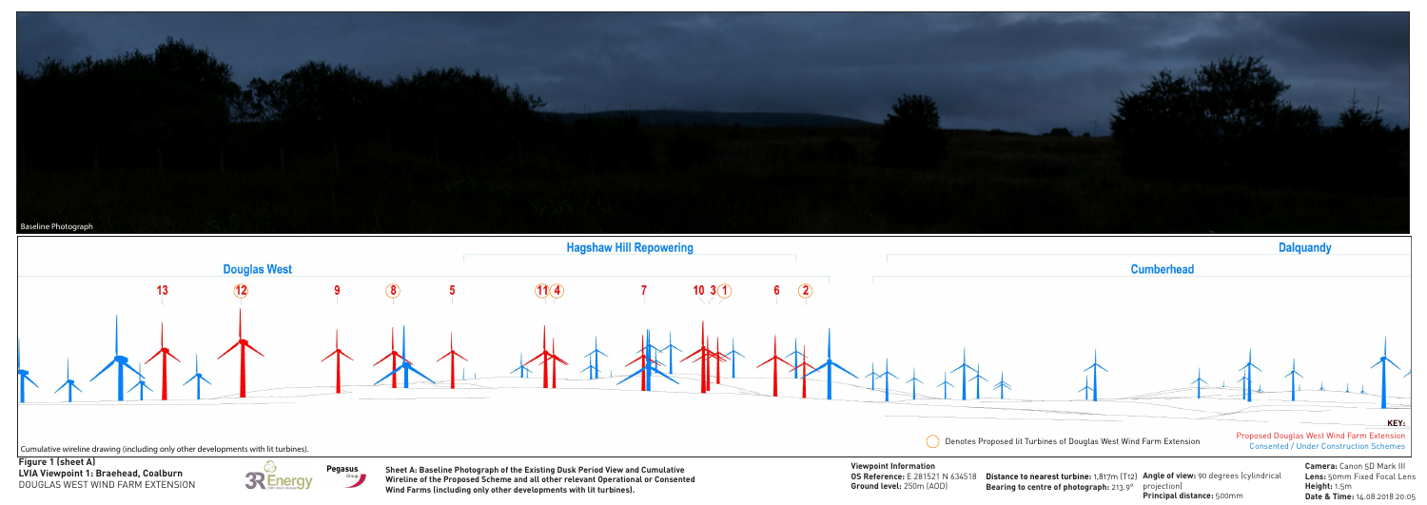

**Distance to nearest turbine:** 1,817m (T12) Angle of view: 90 degrees (cylindrical Bearing to centre of photograph: 213.9° projection) **Principal distance:** 500mm



**Camera:** Canon 5D Mark III **Lens:** 50mm Fixed Focal Lens **Height:** 1.5m **Date & Time:** 14.08.2018 20:05

**LVIA Viewpoint 1: Braehead, Coalburn Figure 1 (sheet A)** DOUGLAS WEST WIND FARM EXTENSION



**Pegasus** Group **Viewpoint Information OS Reference:** E 281521 N 634518 **Ground level:** 250m (AOD)

**Sheet A: Baseline Photograph of the Existing Dusk Period View and Cumulative Wireline of the Proposed Scheme and all other relevant Operational or Consented Wind Farms (including only other developments with lit turbines).**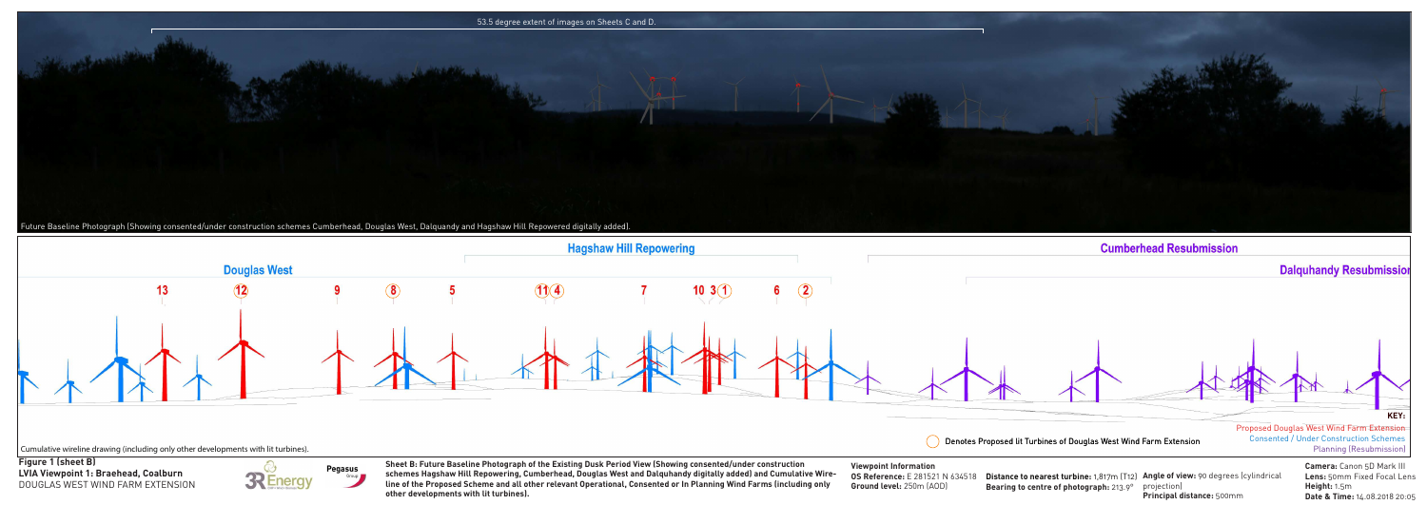



**Camera:** Canon 5D Mark III **Lens:** 50mm Fixed Focal Lens **Height:** 1.5m **Date & Time:** 14.08.2018 20:05

**Schemes Hagshaw Hill Repowering, Cumberhead, Douglas West and Dalquhandy digitally added) and Cumulative Wire
<b>S**Reference: E 281521 N 634518 Distance to nearest turbine: 1,817m (T12) Angle of view: 90 degrees (cylindri **Sheet B: Future Baseline Photograph of the Existing Dusk Period View (Showing consented/under construction line of the Proposed Scheme and all other relevant Operational, Consented or In Planning Wind Farms (including only other developments with lit turbines).**

projection) **Principal distance:** 500mm **Distance to nearest turbine:** 1,817m (T12) Angle of view: 90 degrees (cylindrical **Bearing to centre of photograph:** 213.9°



**Figure 1 (sheet B)** DOUGLAS WEST WIND FARM EXTENSION



**Viewpoint Information OS Reference:** E 281521 N 634518 **Ground level:** 250m (AOD)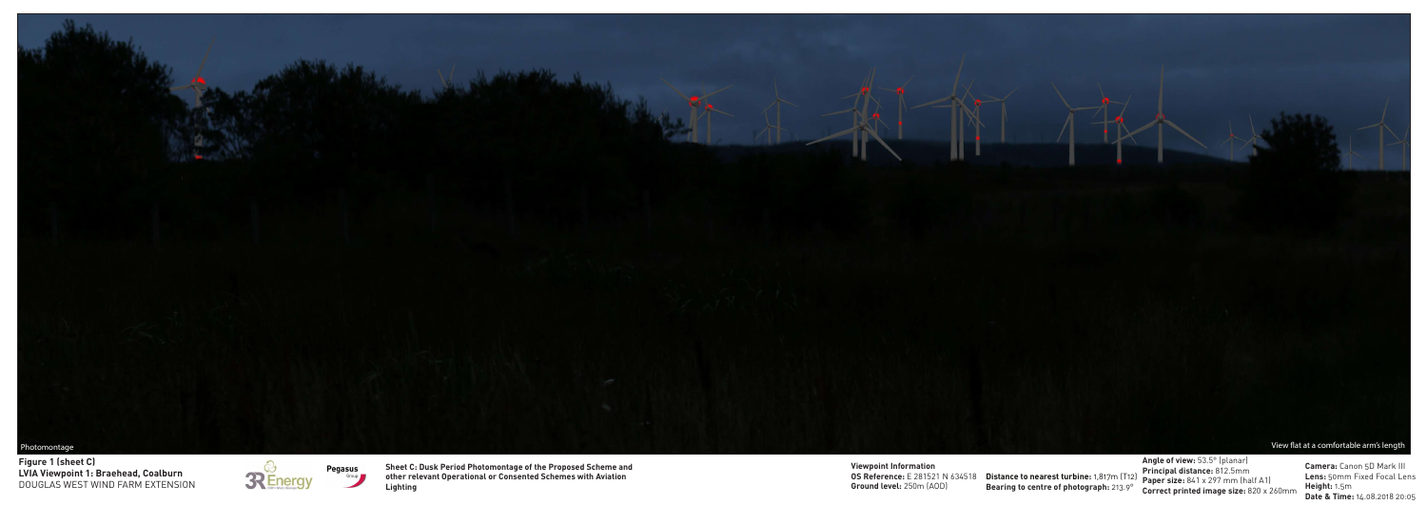

**Angle of view:** 53.5° (planar) **Principal distance:** 812.5mm **Paper size:** 841 x 297 mm (half A1) **Correct printed image size:** 820 x 260mm

**LVIA Viewpoint 1: Braehead, Coalburn Figure 1 (sheet C)** DOUGLAS WEST WIND FARM EXTENSION





**OS Reference:** E 281521 N 634518 Distance to nearest turbine: 1,817m (T12) **Viewpoint Information Ground level:** 250m (AOD)

**Camera:** Canon 5D Mark III **Lens:** 50mm Fixed Focal Lens **Height:** 1.5m **Date & Time:** 14.08.2018 20:05

**Bearing to centre of photograph:** 213.9°

**Sheet C: Dusk Period Photomontage of the Proposed Scheme and other relevant Operational or Consented Schemes with Aviation Lighting**